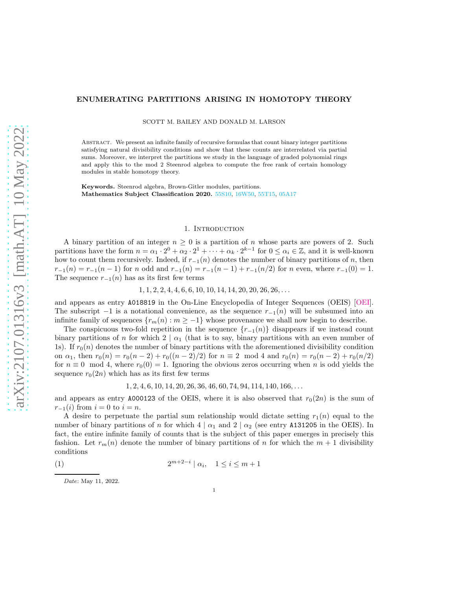# arXiv:2107.01316v3 [math.AT] 10 May 2022 [arXiv:2107.01316v3 \[math.AT\] 10 May 2022](http://arxiv.org/abs/2107.01316v3)

# ENUMERATING PARTITIONS ARISING IN HOMOTOPY THEORY

SCOTT M. BAILEY AND DONALD M. LARSON

Abstract. We present an infinite family of recursive formulas that count binary integer partitions satisfying natural divisibility conditions and show that these counts are interrelated via partial sums. Moreover, we interpret the partitions we study in the language of graded polynomial rings and apply this to the mod 2 Steenrod algebra to compute the free rank of certain homology modules in stable homotopy theory.

Keywords. Steenrod algebra, Brown-Gitler modules, partitions. Mathematics Subject Classification 2020. [55S10,]( https://mathscinet.ams.org/mathscinet/msc/msc2020.html?t=55Sxx&btn=Current) [16W50,]( https://mathscinet.ams.org/mathscinet/msc/msc2020.html?t=16Wxx&btn=Current) [55T15,]( https://mathscinet.ams.org/mathscinet/msc/msc2020.html?t=55Txx&btn=Current) [05A17]( https://mathscinet.ams.org/mathscinet/msc/msc2020.html?t=05Axx&btn=Current)

# 1. INTRODUCTION

<span id="page-0-1"></span>A binary partition of an integer  $n \geq 0$  is a partition of n whose parts are powers of 2. Such partitions have the form  $n = \alpha_1 \cdot 2^0 + \alpha_2 \cdot 2^1 + \cdots + \alpha_k \cdot 2^{k-1}$  for  $0 \leq \alpha_i \in \mathbb{Z}$ , and it is well-known how to count them recursively. Indeed, if  $r_{-1}(n)$  denotes the number of binary partitions of n, then  $r_{-1}(n) = r_{-1}(n-1)$  for n odd and  $r_{-1}(n) = r_{-1}(n-1) + r_{-1}(n/2)$  for n even, where  $r_{-1}(0) = 1$ . The sequence  $r_{-1}(n)$  has as its first few terms

 $1, 1, 2, 2, 4, 4, 6, 6, 10, 10, 14, 14, 20, 20, 26, 26, \ldots$ 

and appears as entry A018819 in the On-Line Encyclopedia of Integer Sequences (OEIS) [\[OEI\]](#page-14-0). The subscript  $-1$  is a notational convenience, as the sequence  $r_{-1}(n)$  will be subsumed into an infinite family of sequences  ${r_m(n) : m \ge -1}$  whose provenance we shall now begin to describe.

The conspicuous two-fold repetition in the sequence  $\{r_{-1}(n)\}\$  disappears if we instead count binary partitions of n for which  $2 | \alpha_1$  (that is to say, binary partitions with an even number of 1s). If  $r_0(n)$  denotes the number of binary partitions with the aforementioned divisibility condition on  $\alpha_1$ , then  $r_0(n) = r_0(n-2) + r_0((n-2)/2)$  for  $n \equiv 2 \mod 4$  and  $r_0(n) = r_0(n-2) + r_0(n/2)$ for  $n \equiv 0 \mod 4$ , where  $r_0(0) = 1$ . Ignoring the obvious zeros occurring when n is odd yields the sequence  $r_0(2n)$  which has as its first few terms

<span id="page-0-0"></span> $1, 2, 4, 6, 10, 14, 20, 26, 36, 46, 60, 74, 94, 114, 140, 166, \ldots$ 

and appears as entry A000123 of the OEIS, where it is also observed that  $r_0(2n)$  is the sum of  $r_{-1}(i)$  from  $i = 0$  to  $i = n$ .

A desire to perpetuate the partial sum relationship would dictate setting  $r_1(n)$  equal to the number of binary partitions of n for which  $4 | \alpha_1$  and  $2 | \alpha_2$  (see entry A131205 in the OEIS). In fact, the entire infinite family of counts that is the subject of this paper emerges in precisely this fashion. Let  $r_m(n)$  denote the number of binary partitions of n for which the  $m + 1$  divisibility conditions

$$
(1) \qquad \qquad 2^{m+2-i} \mid \alpha_i, \quad 1 \le i \le m+1
$$

Date: May 11, 2022.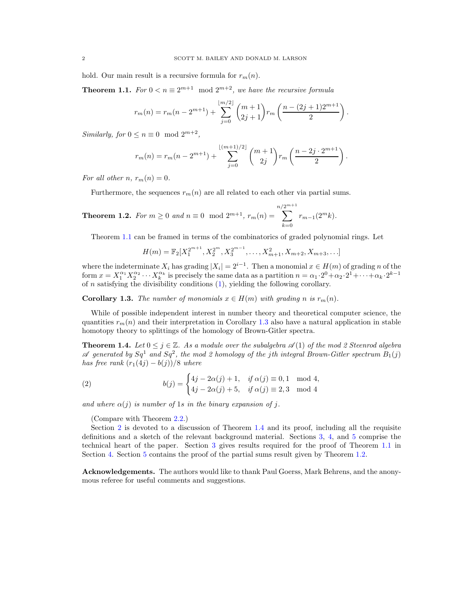hold. Our main result is a recursive formula for  $r_m(n)$ .

<span id="page-1-0"></span>**Theorem 1.1.** For  $0 < n \equiv 2^{m+1} \mod 2^{m+2}$ , we have the recursive formula

$$
r_m(n) = r_m(n - 2^{m+1}) + \sum_{j=0}^{\lfloor m/2 \rfloor} \binom{m+1}{2j+1} r_m \left( \frac{n - (2j+1)2^{m+1}}{2} \right).
$$

Similarly, for  $0 \le n \equiv 0 \mod 2^{m+2}$ ,

$$
r_m(n) = r_m(n - 2^{m+1}) + \sum_{j=0}^{\lfloor (m+1)/2 \rfloor} {m+1 \choose 2j} r_m \left( \frac{n-2j \cdot 2^{m+1}}{2} \right).
$$

For all other n,  $r_m(n) = 0$ .

Furthermore, the sequences  $r_m(n)$  are all related to each other via partial sums.

<span id="page-1-3"></span>**Theorem 1.2.** For 
$$
m \ge 0
$$
 and  $n \equiv 0 \mod 2^{m+1}$ ,  $r_m(n) = \sum_{k=0}^{n/2^{m+1}} r_{m-1}(2^m k)$ .

Theorem [1.1](#page-1-0) can be framed in terms of the combinatorics of graded polynomial rings. Let

$$
H(m) = \mathbb{F}_2[X_1^{2^{m+1}}, X_2^{2^m}, X_3^{2^{m-1}}, \dots, X_{m+1}^2, X_{m+2}, X_{m+3}, \dots]
$$

where the indeterminate  $X_i$  has grading  $|X_i| = 2^{i-1}$ . Then a monomial  $x \in H(m)$  of grading n of the form  $x = X_1^{\alpha_1} X_2^{\alpha_2} \cdots X_k^{\alpha_k}$  is precisely the same data as a partition  $n = \alpha_1 \cdot 2^0 + \alpha_2 \cdot 2^1 + \cdots + \alpha_k \cdot 2^{k-1}$ of  $n$  satisfying the divisibility conditions  $(1)$ , yielding the following corollary.

<span id="page-1-1"></span>**Corollary 1.3.** The number of monomials  $x \in H(m)$  with grading n is  $r_m(n)$ .

While of possible independent interest in number theory and theoretical computer science, the quantities  $r_m(n)$  and their interpretation in Corollary [1.3](#page-1-1) also have a natural application in stable homotopy theory to splittings of the homology of Brown-Gitler spectra.

<span id="page-1-2"></span>**Theorem 1.4.** Let  $0 \leq j \in \mathbb{Z}$ . As a module over the subalgebra  $\mathcal{A}(1)$  of the mod 2 Steenrod algebra  $\mathscr A$  generated by  $Sq^1$  and  $Sq^2$ , the mod 2 homology of the jth integral Brown-Gitler spectrum  $B_1(j)$ has free rank  $(r_1(4j) - b(j))/8$  where

(2) 
$$
b(j) = \begin{cases} 4j - 2\alpha(j) + 1, & \text{if } \alpha(j) \equiv 0, 1 \mod 4, \\ 4j - 2\alpha(j) + 5, & \text{if } \alpha(j) \equiv 2, 3 \mod 4 \end{cases}
$$

and where  $\alpha(j)$  is number of 1s in the binary expansion of j.

(Compare with Theorem [2.2.](#page-5-0))

Section [2](#page-2-0) is devoted to a discussion of Theorem [1.4](#page-1-2) and its proof, including all the requisite definitions and a sketch of the relevant background material. Sections [3,](#page-7-0) [4,](#page-9-0) and [5](#page-10-0) comprise the technical heart of the paper. Section [3](#page-7-0) gives results required for the proof of Theorem [1.1](#page-1-0) in Section [4.](#page-9-0) Section [5](#page-10-0) contains the proof of the partial sums result given by Theorem [1.2.](#page-1-3)

Acknowledgements. The authors would like to thank Paul Goerss, Mark Behrens, and the anonymous referee for useful comments and suggestions.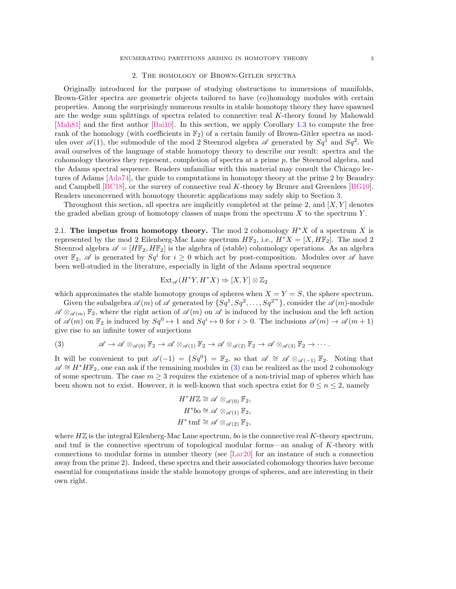## 2. The homology of Brown-Gitler spectra

<span id="page-2-0"></span>Originally introduced for the purpose of studying obstructions to immersions of manifolds, Brown-Gitler spectra are geometric objects tailored to have (co)homology modules with certain properties. Among the surprisingly numerous results in stable homotopy theory they have spawned are the wedge sum splittings of spectra related to connective real K-theory found by Mahowald [\[Mah81\]](#page-14-1) and the first author [\[Bai10\]](#page-13-0). In this section, we apply Corollary [1.3](#page-1-1) to compute the free rank of the homology (with coefficients in  $\mathbb{F}_2$ ) of a certain family of Brown-Gitler spectra as modules over  $\mathscr{A}(1)$ , the submodule of the mod 2 Steenrod algebra  $\mathscr{A}$  generated by  $Sq^1$  and  $Sq^2$ . We avail ourselves of the language of stable homotopy theory to describe our result: spectra and the cohomology theories they represent, completion of spectra at a prime  $p$ , the Steenrod algebra, and the Adams spectral sequence. Readers unfamiliar with this material may consult the Chicago lectures of Adams [\[Ada74\]](#page-13-1), the guide to computations in homotopy theory at the prime 2 by Beaudry and Campbell [\[BC18\]](#page-13-2), or the survey of connective real K-theory by Bruner and Greenlees [\[BG10\]](#page-13-3). Readers unconcerned with homotopy theoretic applications may safely skip to Section [3.](#page-7-0)

Throughout this section, all spectra are implicitly completed at the prime 2, and  $[X, Y]$  denotes the graded abelian group of homotopy classes of maps from the spectrum  $X$  to the spectrum  $Y$ .

<span id="page-2-2"></span>2.1. The impetus from homotopy theory. The mod 2 cohomology  $H^*X$  of a spectrum X is represented by the mod 2 Eilenberg-Mac Lane spectrum  $H\mathbb{F}_2$ , i.e.,  $H^*X = [X, H\mathbb{F}_2]$ . The mod 2 Steenrod algebra  $\mathscr{A} = [H\mathbb{F}_2, H\mathbb{F}_2]$  is the algebra of (stable) cohomology operations. As an algebra over  $\mathbb{F}_2$ ,  $\mathscr A$  is generated by  $Sq^i$  for  $i \geq 0$  which act by post-composition. Modules over  $\mathscr A$  have been well-studied in the literature, especially in light of the Adams spectral sequence

$$
\text{Ext}_{\mathscr{A}}(H^*Y, H^*X) \Rightarrow [X, Y] \otimes \mathbb{Z}_2
$$

which approximates the stable homotopy groups of spheres when  $X = Y = S$ , the sphere spectrum.

Given the subalgebra  $\mathscr{A}(m)$  of  $\mathscr{A}$  generated by  $\{Sq^1, Sq^2, \ldots, Sq^{2^m}\}\$ , consider the  $\mathscr{A}(m)$ -module  $\mathscr{A} \otimes_{\mathscr{A}(m)} \mathbb{F}_2$ , where the right action of  $\mathscr{A}(m)$  on  $\mathscr{A}$  is induced by the inclusion and the left action of  $\mathscr{A}(m)$  on  $\mathbb{F}_2$  is induced by  $Sq^0 \mapsto 1$  and  $Sq^i \mapsto 0$  for  $i > 0$ . The inclusions  $\mathscr{A}(m) \to \mathscr{A}(m+1)$ give rise to an infinite tower of surjections

<span id="page-2-1"></span>(3) 
$$
\mathscr{A} \to \mathscr{A} \otimes_{\mathscr{A}(0)} \mathbb{F}_2 \to \mathscr{A} \otimes_{\mathscr{A}(1)} \mathbb{F}_2 \to \mathscr{A} \otimes_{\mathscr{A}(2)} \mathbb{F}_2 \to \mathscr{A} \otimes_{\mathscr{A}(3)} \mathbb{F}_2 \to \cdots
$$

It will be convenient to put  $\mathscr{A}(-1) = \{Sq^{0}\} = \mathbb{F}_{2}$ , so that  $\mathscr{A} \cong \mathscr{A} \otimes_{\mathscr{A}(-1)} \mathbb{F}_{2}$ . Noting that  $\mathscr{A} \cong H^*H\mathbb{F}_2$ , one can ask if the remaining modules in [\(3\)](#page-2-1) can be realized as the mod 2 cohomology of some spectrum. The case  $m \geq 3$  requires the existence of a non-trivial map of spheres which has been shown not to exist. However, it is well-known that such spectra exist for  $0 \le n \le 2$ , namely

$$
H^* H \mathbb{Z} \cong \mathscr{A} \otimes_{\mathscr{A}(0)} \mathbb{F}_2,
$$
  
\n
$$
H^* b \circ \cong \mathscr{A} \otimes_{\mathscr{A}(1)} \mathbb{F}_2,
$$
  
\n
$$
H^* \text{tmf} \cong \mathscr{A} \otimes_{\mathscr{A}(2)} \mathbb{F}_2,
$$

where  $H\mathbb{Z}$  is the integral Eilenberg-Mac Lane spectrum, bo is the connective real K-theory spectrum, and tmf is the connective spectrum of topological modular forms—an analog of K-theory with connections to modular forms in number theory (see [\[Lar20\]](#page-14-2) for an instance of such a connection away from the prime 2). Indeed, these spectra and their associated cohomology theories have become essential for computations inside the stable homotopy groups of spheres, and are interesting in their own right.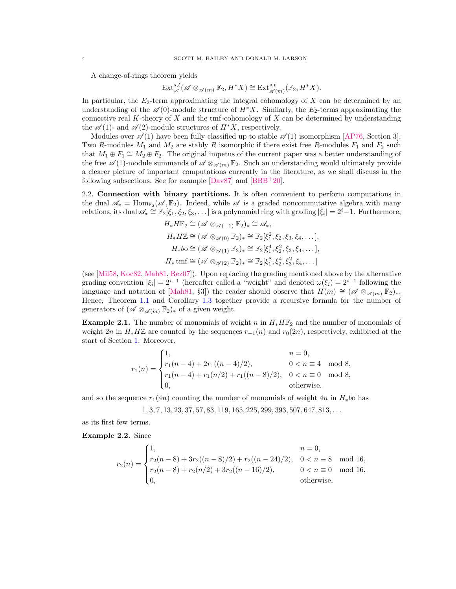A change-of-rings theorem yields

$$
\text{Ext}^{s,t}_{\mathscr{A}}(\mathscr{A}\otimes_{\mathscr{A}(m)}\mathbb{F}_2,H^*X)\cong\text{Ext}^{s,t}_{\mathscr{A}(m)}(\mathbb{F}_2,H^*X).
$$

In particular, the  $E_2$ -term approximating the integral cohomology of  $X$  can be determined by an understanding of the  $\mathscr{A}(0)$ -module structure of  $H^*X$ . Similarly, the E<sub>2</sub>-terms approximating the connective real K-theory of X and the tmf-cohomology of X can be determined by understanding the  $\mathscr{A}(1)$ - and  $\mathscr{A}(2)$ -module structures of  $H^*X$ , respectively.

Modules over  $\mathscr{A}(1)$  have been fully classified up to stable  $\mathscr{A}(1)$  isomorphism [\[AP76,](#page-13-4) Section 3]. Two R-modules  $M_1$  and  $M_2$  are stably R isomorphic if there exist free R-modules  $F_1$  and  $F_2$  such that  $M_1 \oplus F_1 \cong M_2 \oplus F_2$ . The original impetus of the current paper was a better understanding of the free  $\mathscr{A}(1)$ -module summands of  $\mathscr{A} \otimes_{\mathscr{A}(m)} \mathbb{F}_2$ . Such an understanding would ultimately provide a clearer picture of important computations currently in the literature, as we shall discuss in the following subsections. See for example  $[Da\sqrt{87}]$  and  $[BBB^+20]$ .

2.2. Connection with binary partitions. It is often convenient to perform computations in the dual  $\mathscr{A}_{*} = \text{Hom}_{\mathbb{F}_{2}}(\mathscr{A}, \mathbb{F}_{2})$ . Indeed, while  $\mathscr{A}$  is a graded noncommutative algebra with many relations, its dual  $\mathscr{A}_* \cong \mathbb{F}_2[\xi_1,\xi_2,\xi_3,\dots]$  is a polynomial ring with grading  $|\xi_i|=2^i-1$ . Furthermore,

$$
H_* H \mathbb{F}_2 \cong (\mathscr{A} \otimes_{\mathscr{A}(-1)} \mathbb{F}_2)_* \cong \mathscr{A}_*,
$$
  
\n
$$
H_* H \mathbb{Z} \cong (\mathscr{A} \otimes_{\mathscr{A}(0)} \mathbb{F}_2)_* \cong \mathbb{F}_2[\xi_1^2, \xi_2, \xi_3, \xi_4, \dots],
$$
  
\n
$$
H_* b \circ \cong (\mathscr{A} \otimes_{\mathscr{A}(1)} \mathbb{F}_2)_* \cong \mathbb{F}_2[\xi_1^4, \xi_2^2, \xi_3, \xi_4, \dots],
$$
  
\n
$$
H_* \operatorname{tmf} \cong (\mathscr{A} \otimes_{\mathscr{A}(2)} \mathbb{F}_2)_* \cong \mathbb{F}_2[\xi_1^8, \xi_2^4, \xi_3^2, \xi_4, \dots]
$$

(see [\[Mil58,](#page-14-4) [Koc82,](#page-14-5) [Mah81,](#page-14-1) [Rez07\]](#page-14-6)). Upon replacing the grading mentioned above by the alternative grading convention  $|\xi_i| = 2^{i-1}$  (hereafter called a "weight" and denoted  $\omega(\xi_i) = 2^{i-1}$  following the language and notation of [\[Mah81,](#page-14-1) §3]) the reader should observe that  $H(m) \cong (\mathscr{A} \otimes_{\mathscr{A}(m)} \mathbb{F}_2)_*.$ Hence, Theorem [1.1](#page-1-0) and Corollary [1.3](#page-1-1) together provide a recursive formula for the number of generators of  $({\mathscr A}\otimes_{{\mathscr A}(m)}{\mathbb F}_2)_*$  of a given weight.

**Example 2.1.** The number of monomials of weight n in  $H_* H_{\mathbb{F}_2}$  and the number of monomials of weight 2n in  $H_*H\mathbb{Z}$  are counted by the sequences  $r_{-1}(n)$  and  $r_0(2n)$ , respectively, exhibited at the start of Section [1.](#page-0-1) Moreover,

$$
r_1(n) = \begin{cases} 1, & n = 0, \\ r_1(n-4) + 2r_1((n-4)/2), & 0 < n \equiv 4 \mod 8, \\ r_1(n-4) + r_1(n/2) + r_1((n-8)/2), & 0 < n \equiv 0 \mod 8, \\ 0, & \text{otherwise.} \end{cases}
$$

and so the sequence  $r_1(4n)$  counting the number of monomials of weight  $4n$  in  $H_*b$ o has

$$
1, 3, 7, 13, 23, 37, 57, 83, 119, 165, 225, 299, 393, 507, 647, 813, \ldots
$$

as its first few terms.

Example 2.2. Since

$$
r_2(n) = \begin{cases} 1, & n = 0, \\ r_2(n-8) + 3r_2((n-8)/2) + r_2((n-24)/2), & 0 < n \equiv 8 \mod 16, \\ r_2(n-8) + r_2(n/2) + 3r_2((n-16)/2), & 0 < n \equiv 0 \mod 16, \\ 0, & \text{otherwise,} \end{cases}
$$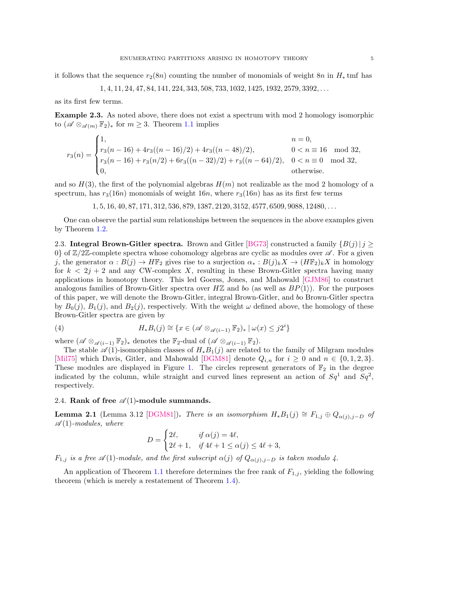it follows that the sequence  $r_2(8n)$  counting the number of monomials of weight  $8n$  in  $H_*$  tmf has

$$
1, 4, 11, 24, 47, 84, 141, 224, 343, 508, 733, 1032, 1425, 1932, 2579, 3392, \ldots
$$

as its first few terms.

Example 2.3. As noted above, there does not exist a spectrum with mod 2 homology isomorphic to  $(\mathscr{A} \otimes_{\mathscr{A}(m)} \mathbb{F}_2)_*$  for  $m \geq 3$ . Theorem [1.1](#page-1-0) implies

$$
r_3(n) = \begin{cases} 1, & n = 0, \\ r_3(n-16) + 4r_3((n-16)/2) + 4r_3((n-48)/2), & 0 < n \equiv 16 \mod 32, \\ r_3(n-16) + r_3(n/2) + 6r_3((n-32)/2) + r_3((n-64)/2), & 0 < n \equiv 0 \mod 32, \\ 0, & \text{otherwise.} \end{cases}
$$

and so  $H(3)$ , the first of the polynomial algebras  $H(m)$  not realizable as the mod 2 homology of a spectrum, has  $r_3(16n)$  monomials of weight 16n, where  $r_3(16n)$  has as its first few terms

1, 5, 16, 40, 87, 171, 312, 536, 879, 1387, 2120, 3152, 4577, 6509, 9088, 12480, . . .

One can observe the partial sum relationships between the sequences in the above examples given by Theorem [1.2.](#page-1-3)

2.3. Integral Brown-Gitler spectra. Brown and Gitler [\[BG73\]](#page-13-6) constructed a family  $\{B(j) | j \geq 1\}$ 0} of  $\mathbb{Z}/2\mathbb{Z}$ -complete spectra whose cohomology algebras are cyclic as modules over  $\mathscr{A}$ . For a given j, the generator  $\alpha : B(j) \to H\mathbb{F}_2$  gives rise to a surjection  $\alpha_* : B(j)_k X \to (H\mathbb{F}_2)_k X$  in homology for  $k < 2j + 2$  and any CW-complex X, resulting in these Brown-Gitler spectra having many applications in homotopy theory. This led Goerss, Jones, and Mahowald [\[GJM86\]](#page-14-7) to construct analogous families of Brown-Gitler spectra over  $H\mathbb{Z}$  and bo (as well as  $BP\langle 1 \rangle$ ). For the purposes of this paper, we will denote the Brown-Gitler, integral Brown-Gitler, and bo Brown-Gitler spectra by  $B_0(j)$ ,  $B_1(j)$ , and  $B_2(j)$ , respectively. With the weight  $\omega$  defined above, the homology of these Brown-Gitler spectra are given by

<span id="page-4-1"></span>(4) 
$$
H_*B_i(j) \cong \{x \in (\mathscr{A} \otimes_{\mathscr{A}(i-1)} \mathbb{F}_2)_* \mid \omega(x) \leq j2^i\}
$$

where  $(\mathscr{A} \otimes_{\mathscr{A}(i-1)} \mathbb{F}_2)_*$  denotes the  $\mathbb{F}_2$ -dual of  $(\mathscr{A} \otimes_{\mathscr{A}(i-1)} \mathbb{F}_2)$ .

The stable  $\mathscr{A}(1)$ -isomorphism classes of  $H_*B_1(j)$  are related to the family of Milgram modules [\[Mil75\]](#page-14-8) which Davis, Gitler, and Mahowald [\[DGM81\]](#page-14-9) denote  $Q_{i,n}$  for  $i \geq 0$  and  $n \in \{0,1,2,3\}$ . These modules are displayed in Figure [1.](#page-5-1) The circles represent generators of  $\mathbb{F}_2$  in the degree indicated by the column, while straight and curved lines represent an action of  $Sq^1$  and  $Sq^2$ , respectively.

# 2.4. Rank of free  $\mathcal{A}(1)$ -module summands.

<span id="page-4-0"></span>**Lemma 2.1** (Lemma 3.12 [\[DGM81\]](#page-14-9)). There is an isomorphism  $H_*B_1(j) \cong F_{1,j} \oplus Q_{\alpha(j),j-D}$  of  $\mathscr{A}(1)$ -modules, where

$$
D = \begin{cases} 2\ell, & \text{if } \alpha(j) = 4\ell, \\ 2\ell + 1, & \text{if } 4\ell + 1 \le \alpha(j) \le 4\ell + 3, \end{cases}
$$

 $F_{1,j}$  is a free  $\mathscr{A}(1)$ -module, and the first subscript  $\alpha(j)$  of  $Q_{\alpha(j),j-D}$  is taken modulo 4.

An application of Theorem [1.1](#page-1-0) therefore determines the free rank of  $F_{1,j}$ , yielding the following theorem (which is merely a restatement of Theorem [1.4\)](#page-1-2).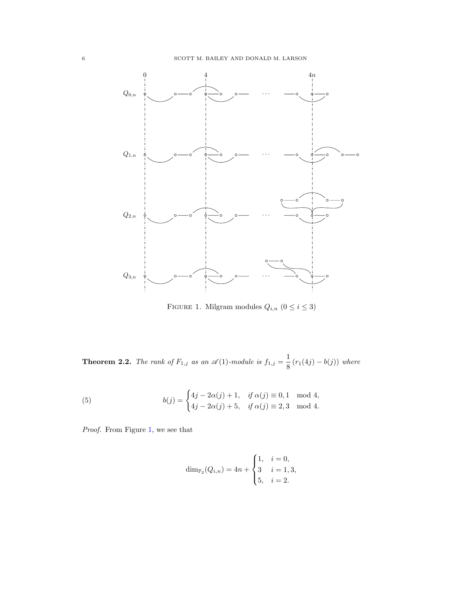

<span id="page-5-1"></span>FIGURE 1. Milgram modules  $Q_{i,n}$   $(0\leq i\leq 3)$ 

<span id="page-5-0"></span>**Theorem 2.2.** The rank of  $F_{1,j}$  as an  $\mathscr{A}(1)$ -module is  $f_{1,j} = \frac{1}{8}$  $\frac{1}{8}(r_1(4j) - b(j))$  where

(5) 
$$
b(j) = \begin{cases} 4j - 2\alpha(j) + 1, & \text{if } \alpha(j) \equiv 0, 1 \mod 4, \\ 4j - 2\alpha(j) + 5, & \text{if } \alpha(j) \equiv 2, 3 \mod 4. \end{cases}
$$

Proof. From Figure [1,](#page-5-1) we see that

$$
\dim_{\mathbb{F}_2}(Q_{i,n}) = 4n + \begin{cases} 1, & i = 0, \\ 3 & i = 1, 3, \\ 5, & i = 2. \end{cases}
$$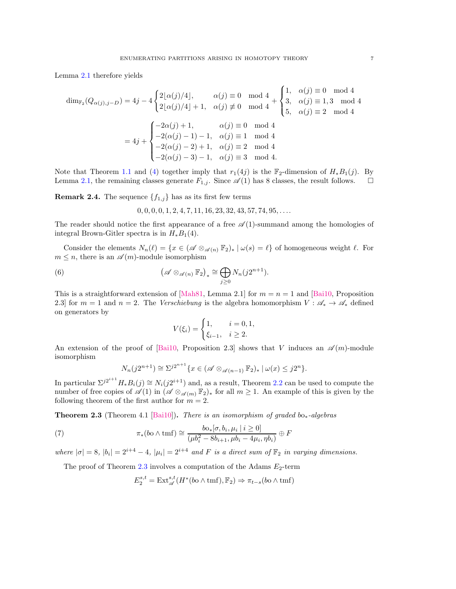Lemma [2.1](#page-4-0) therefore yields

$$
\dim_{\mathbb{F}_2}(Q_{\alpha(j),j-D}) = 4j - 4 \begin{cases} 2\lfloor \alpha(j)/4 \rfloor, & \alpha(j) \equiv 0 \mod 4 \\ 2\lfloor \alpha(j)/4 \rfloor + 1, & \alpha(j) \not\equiv 0 \mod 4 \end{cases} + \begin{cases} 1, & \alpha(j) \equiv 0 \mod 4 \\ 3, & \alpha(j) \equiv 1, 3 \mod 4 \\ 5, & \alpha(j) \equiv 2 \mod 4 \end{cases}
$$

$$
= 4j + \begin{cases} -2\alpha(j) + 1, & \alpha(j) \equiv 0 \mod 4 \\ -2(\alpha(j) - 1) - 1, & \alpha(j) \equiv 1 \mod 4 \\ -2(\alpha(j) - 2) + 1, & \alpha(j) \equiv 2 \mod 4 \\ -2(\alpha(j) - 3) - 1, & \alpha(j) \equiv 3 \mod 4. \end{cases}
$$

Note that Theorem [1.1](#page-1-0) and [\(4\)](#page-4-1) together imply that  $r_1(4j)$  is the  $\mathbb{F}_2$ -dimension of  $H_*B_1(j)$ . By Lemma [2.1,](#page-4-0) the remaining classes generate  $F_{1,j}$ . Since  $\mathscr{A}(1)$  has 8 classes, the result follows.  $\Box$ 

**Remark 2.4.** The sequence  $\{f_{1,j}\}\$  has as its first few terms

 $0, 0, 0, 0, 1, 2, 4, 7, 11, 16, 23, 32, 43, 57, 74, 95, \ldots$ 

The reader should notice the first appearance of a free  $\mathscr{A}(1)$ -summand among the homologies of integral Brown-Gitler spectra is in  $H_*B_1(4)$ .

Consider the elements  $N_n(\ell) = \{x \in (\mathscr{A} \otimes_{\mathscr{A}(n)} \mathbb{F}_2)_* | \omega(s) = \ell\}$  of homogeneous weight  $\ell$ . For  $m \leq n$ , there is an  $\mathscr{A}(m)$ -module isomorphism

(6) 
$$
\left(\mathscr{A}\otimes_{\mathscr{A}(n)}\mathbb{F}_2\right)_* \cong \bigoplus_{j\geq 0} N_n(j2^{n+1}).
$$

This is a straightforward extension of [\[Mah81,](#page-14-1) Lemma 2.1] for  $m = n = 1$  and [\[Bai10,](#page-13-0) Proposition 2.3] for  $m = 1$  and  $n = 2$ . The *Verschiebung* is the algebra homomorphism  $V : \mathscr{A}_* \to \mathscr{A}_*$  defined on generators by

<span id="page-6-1"></span>
$$
V(\xi_i) = \begin{cases} 1, & i = 0, 1, \\ \xi_{i-1}, & i \ge 2. \end{cases}
$$

An extension of the proof of [\[Bai10,](#page-13-0) Proposition 2.3] shows that V induces an  $\mathscr{A}(m)$ -module isomorphism

$$
N_n(j2^{n+1}) \cong \Sigma^{j2^{n+1}} \{x \in (\mathscr{A} \otimes_{\mathscr{A}(n-1)} \mathbb{F}_2)_* \mid \omega(x) \leq j2^n\}.
$$

In particular  $\Sigma^{j2^{i+1}}H_*B_i(j) \cong N_i(j2^{i+1})$  and, as a result, Theorem [2.2](#page-5-0) can be used to compute the number of free copies of  $\mathscr{A}(1)$  in  $(\mathscr{A} \otimes_{\mathscr{A}(m)} \mathbb{F}_2)_*$  for all  $m \geq 1$ . An example of this is given by the following theorem of the first author for  $m = 2$ .

<span id="page-6-0"></span>**Theorem 2.3** (Theorem 4.1 [\[Bai10\]](#page-13-0)). There is an isomorphism of graded bo<sub>\*</sub>-algebras

(7) 
$$
\pi_*(b \circ \wedge \text{tmf}) \cong \frac{b \circ_{*} [\sigma, b_i, \mu_i \mid i \geq 0]}{(\mu b_i^2 - 8b_{i+1}, \mu b_i - 4\mu_i, \eta b_i)} \oplus F
$$

where  $|\sigma| = 8$ ,  $|b_i| = 2^{i+4} - 4$ ,  $|\mu_i| = 2^{i+4}$  and F is a direct sum of  $\mathbb{F}_2$  in varying dimensions.

The proof of Theorem [2.3](#page-6-0) involves a computation of the Adams  $E_2$ -term

$$
E_2^{s,t} = \text{Ext}^{s,t}_{\mathscr{A}}(H^*(bo \wedge \text{tmf}), \mathbb{F}_2) \Rightarrow \pi_{t-s}(bo \wedge \text{tmf})
$$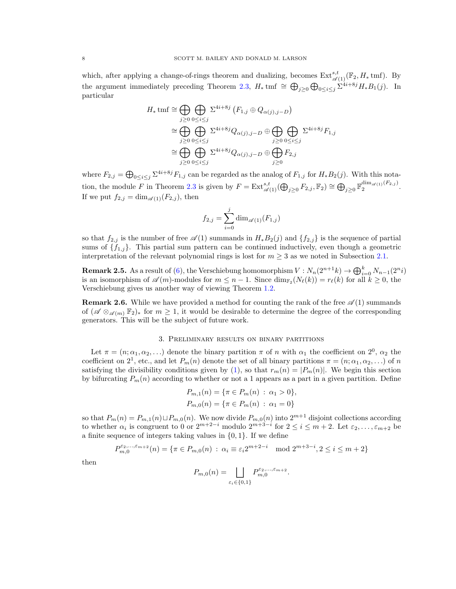which, after applying a change-of-rings theorem and dualizing, becomes  $\text{Ext}^{s,t}_{\mathscr{A}(1)}(\mathbb{F}_2, H_\ast \text{tmf})$ . By the argument immediately preceding Theorem [2.3,](#page-6-0)  $H_*$  tmf  $\cong \bigoplus_{j\geq 0} \bigoplus_{0\leq i\leq j} \sum_{i=1}^{j} H_* B_1(j)$ . In particular

$$
H_* \text{tmf} \cong \bigoplus_{j\geq 0} \bigoplus_{0\leq i\leq j} \Sigma^{4i+8j} (F_{1,j} \oplus Q_{\alpha(j),j-D})
$$
  
\n
$$
\cong \bigoplus_{j\geq 0} \bigoplus_{0\leq i\leq j} \Sigma^{4i+8j} Q_{\alpha(j),j-D} \oplus \bigoplus_{j\geq 0} \bigoplus_{0\leq i\leq j} \Sigma^{4i+8j} F_{1,j}
$$
  
\n
$$
\cong \bigoplus_{j\geq 0} \bigoplus_{0\leq i\leq j} \Sigma^{4i+8j} Q_{\alpha(j),j-D} \oplus \bigoplus_{j\geq 0} F_{2,j}
$$

where  $F_{2,j} = \bigoplus_{0 \le i \le j} \sum_{i}^{4i+8j} F_{1,j}$  can be regarded as the analog of  $F_{1,j}$  for  $H_*B_2(j)$ . With this nota-tion, the module F in Theorem [2.3](#page-6-0) is given by  $F = \text{Ext}^{s,t}_{\mathscr{A}(1)}(\bigoplus_{j\geq 0} F_{2,j}, \mathbb{F}_2) \cong \bigoplus_{j\geq 0} \mathbb{F}_2^{\dim_{\mathscr{A}(1)}(F_{2,j})}$ . If we put  $f_{2,j} = \dim_{\mathscr{A}(1)}(F_{2,j})$ , then

$$
f_{2,j} = \sum_{i=0}^{j} \dim_{\mathscr{A}(1)}(F_{1,j})
$$

so that  $f_{2,j}$  is the number of free  $\mathscr{A}(1)$  summands in  $H_*B_2(j)$  and  $\{f_{2,j}\}$  is the sequence of partial sums of  $\{f_{1,j}\}$ . This partial sum pattern can be continued inductively, even though a geometric interpretation of the relevant polynomial rings is lost for  $m \geq 3$  as we noted in Subsection [2.1.](#page-2-2)

**Remark 2.5.** As a result of [\(6\)](#page-6-1), the Verschiebung homomorphism  $V: N_n(2^{n+1}k) \to \bigoplus_{i=0}^k N_{n-1}(2^{n_i})$ is an isomorphism of  $\mathscr{A}(m)$ -modules for  $m \leq n-1$ . Since  $\dim_{\mathbb{F}_2}(N_\ell(k)) = r_\ell(k)$  for all  $k \geq 0$ , the Verschiebung gives us another way of viewing Theorem [1.2.](#page-1-3)

**Remark 2.6.** While we have provided a method for counting the rank of the free  $\mathscr{A}(1)$  summands of  $(\mathscr{A} \otimes_{\mathscr{A}(m)} \mathbb{F}_2)_*$  for  $m \geq 1$ , it would be desirable to determine the degree of the corresponding generators. This will be the subject of future work.

# 3. Preliminary results on binary partitions

<span id="page-7-0"></span>Let  $\pi = (n; \alpha_1, \alpha_2, \ldots)$  denote the binary partition  $\pi$  of n with  $\alpha_1$  the coefficient on  $2^0$ ,  $\alpha_2$  the coefficient on  $2^1$ , etc., and let  $P_m(n)$  denote the set of all binary partitions  $\pi = (n; \alpha_1, \alpha_2, \ldots)$  of n satisfying the divisibility conditions given by [\(1\)](#page-0-0), so that  $r_m(n) = |P_m(n)|$ . We begin this section by bifurcating  $P_m(n)$  according to whether or not a 1 appears as a part in a given partition. Define

$$
P_{m,1}(n) = \{\pi \in P_m(n) : \alpha_1 > 0\},\
$$
  

$$
P_{m,0}(n) = \{\pi \in P_m(n) : \alpha_1 = 0\}
$$

so that  $P_m(n) = P_{m,1}(n) \sqcup P_{m,0}(n)$ . We now divide  $P_{m,0}(n)$  into  $2^{m+1}$  disjoint collections according to whether  $\alpha_i$  is congruent to 0 or  $2^{m+2-i}$  modulo  $2^{m+3-i}$  for  $2 \le i \le m+2$ . Let  $\varepsilon_2, \ldots, \varepsilon_{m+2}$  be a finite sequence of integers taking values in {0, 1}. If we define

$$
P_{m,0}^{\varepsilon_2,\dots,\varepsilon_{m+2}}(n) = \{ \pi \in P_{m,0}(n) \, : \, \alpha_i \equiv \varepsilon_i 2^{m+2-i} \mod 2^{m+3-i}, 2 \le i \le m+2 \}
$$

then

$$
P_{m,0}(n) = \bigsqcup_{\varepsilon_i \in \{0,1\}} P_{m,0}^{\varepsilon_2, \dots, \varepsilon_{m+2}}.
$$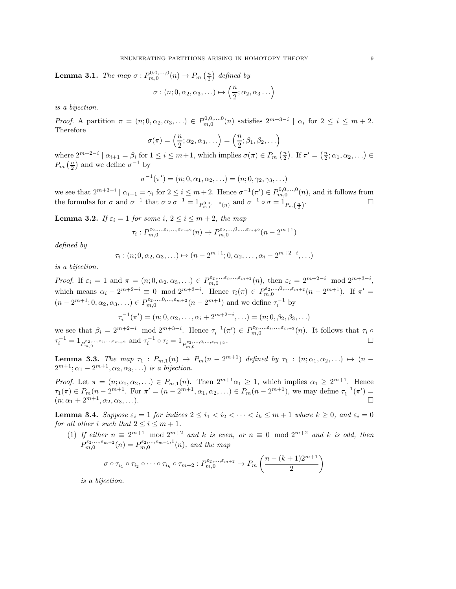<span id="page-8-1"></span>**Lemma 3.1.** The map  $\sigma: P_{m,0}^{0,0,\ldots,0}(n) \to P_m\left(\frac{n}{2}\right)$  defined by

$$
\sigma : (n; 0, \alpha_2, \alpha_3, \ldots) \mapsto \left(\frac{n}{2}; \alpha_2, \alpha_3 \ldots\right)
$$

is a bijection.

Proof. A partition  $\pi = (n, 0, \alpha_2, \alpha_3, ...) \in P_{m,0}^{0,0,\dots,0}(n)$  satisfies  $2^{m+3-i} \mid \alpha_i$  for  $2 \le i \le m+2$ . Therefore

$$
\sigma(\pi) = \left(\frac{n}{2}; \alpha_2, \alpha_3, \ldots\right) = \left(\frac{n}{2}; \beta_1, \beta_2, \ldots\right)
$$

where  $2^{m+2-i}$  |  $\alpha_{i+1} = \beta_i$  for  $1 \le i \le m+1$ , which implies  $\sigma(\pi) \in P_m\left(\frac{n}{2}\right)$ . If  $\pi' = \left(\frac{n}{2}; \alpha_1, \alpha_2, \ldots\right) \in$  $P_m\left(\frac{n}{2}\right)$  and we define  $\sigma^{-1}$  by

$$
\sigma^{-1}(\pi') = (n; 0, \alpha_1, \alpha_2, \ldots) = (n; 0, \gamma_2, \gamma_3, \ldots)
$$

we see that  $2^{m+3-i} \mid \alpha_{i-1} = \gamma_i$  for  $2 \leq i \leq m+2$ . Hence  $\sigma^{-1}(\pi') \in P_{m,0}^{0,0,\dots,0}(n)$ , and it follows from the formulas for  $\sigma$  and  $\sigma^{-1}$  that  $\sigma \circ \sigma^{-1} = 1_{P_{m,0}^{0,0,\ldots,0}(n)}$  and  $\sigma^{-1} \circ \sigma = 1_{P_m(\frac{n}{2})}$ .

<span id="page-8-0"></span>**Lemma 3.2.** If  $\varepsilon_i = 1$  for some i,  $2 \leq i \leq m+2$ , the map

$$
\tau_i: P_{m,0}^{\varepsilon_2,\dots,\varepsilon_i,\dots,\varepsilon_{m+2}}(n) \to P_{m,0}^{\varepsilon_2,\dots,0,\dots,\varepsilon_{m+2}}(n-2^{m+1})
$$

defined by

$$
\tau_i: (n; 0, \alpha_2, \alpha_3, \ldots) \mapsto (n - 2^{m+1}; 0, \alpha_2, \ldots, \alpha_i - 2^{m+2-i}, \ldots)
$$

is a bijection.

Proof. If  $\varepsilon_i = 1$  and  $\pi = (n; 0, \alpha_2, \alpha_3, \ldots) \in P_{m,0}^{\varepsilon_2, \ldots, \varepsilon_i, \ldots, \varepsilon_{m+2}}(n)$ , then  $\varepsilon_i = 2^{m+2-i} \mod 2^{m+3-i}$ , which means  $\alpha_i - 2^{m+2-i} \equiv 0 \mod 2^{m+3-i}$ . Hence  $\tau_i(\pi) \in P_{m,0}^{\varepsilon_2,...,0,...,\varepsilon_{m+2}}(n-2^{m+1})$ . If  $\pi' =$  $(n-2^{m+1}; 0, \alpha_2, \alpha_3, \ldots) \in P_{m,0}^{\varepsilon_2, \ldots, 0, \ldots, \varepsilon_{m+2}}(n-2^{m+1})$  and we define  $\tau_i^{-1}$  by

$$
\tau_i^{-1}(\pi') = (n; 0, \alpha_2, \dots, \alpha_i + 2^{m+2-i}, \dots) = (n; 0, \beta_2, \beta_3, \dots)
$$

we see that  $\beta_i = 2^{m+2-i} \mod 2^{m+3-i}$ . Hence  $\tau_i^{-1}(\pi') \in P_{m,0}^{\varepsilon_2,\ldots,\varepsilon_i,\ldots,\varepsilon_{m+2}}(n)$ . It follows that  $\tau_i \circ$  $\tau_i^{-1} = 1_{P_{m,0}^{\varepsilon_2,\dots,\varepsilon_i,\dots,\varepsilon_{m+2}}} \text{ and } \tau_i^{-1} \circ \tau_i = 1_{P_{m,0}^{\varepsilon_2,\dots,0,\dots,\varepsilon_{m+2}}}$ .

<span id="page-8-3"></span>**Lemma 3.3.** The map  $\tau_1$ :  $P_{m,1}(n) \to P_m(n-2^{m+1})$  defined by  $\tau_1$ :  $(n; \alpha_1, \alpha_2, ...) \mapsto (n-1)$  $2^{m+1}; \alpha_1-2^{m+1}, \alpha_2, \alpha_3, \ldots$  is a bijection.

*Proof.* Let  $\pi = (n; \alpha_1, \alpha_2, ...) \in P_{m,1}(n)$ . Then  $2^{m+1}\alpha_1 \geq 1$ , which implies  $\alpha_1 \geq 2^{m+1}$ . Hence  $\tau_1(\pi) \in P_m(n-2^{m+1})$ . For  $\pi' = (n-2^{m+1}, \alpha_1, \alpha_2, ...) \in P_m(n-2^{m+1})$ , we may define  $\tau_1^{-1}(\pi') =$  $(n; \alpha_1 + 2^{m+1}, \alpha_2, \alpha_3, \ldots).$ 

<span id="page-8-4"></span><span id="page-8-2"></span>**Lemma 3.4.** Suppose  $\varepsilon_i = 1$  for indices  $2 \leq i_1 < i_2 < \cdots < i_k \leq m+1$  where  $k \geq 0$ , and  $\varepsilon_i = 0$ for all other i such that  $2 \le i \le m+1$ .

(1) If either  $n \equiv 2^{m+1} \mod 2^{m+2}$  and k is even, or  $n \equiv 0 \mod 2^{m+2}$  and k is odd, then  $P_{m,0}^{\varepsilon_2,\ldots,\varepsilon_{m+2}}(n) = P_{m,0}^{\varepsilon_2,\ldots,\varepsilon_{m+1},1}(n)$ , and the map

$$
\sigma \circ \tau_{i_1} \circ \tau_{i_2} \circ \cdots \circ \tau_{i_k} \circ \tau_{m+2} : P_{m,0}^{\varepsilon_2,\ldots,\varepsilon_{m+2}} \to P_m\left(\frac{n-(k+1)2^{m+1}}{2}\right)
$$

is a bijection.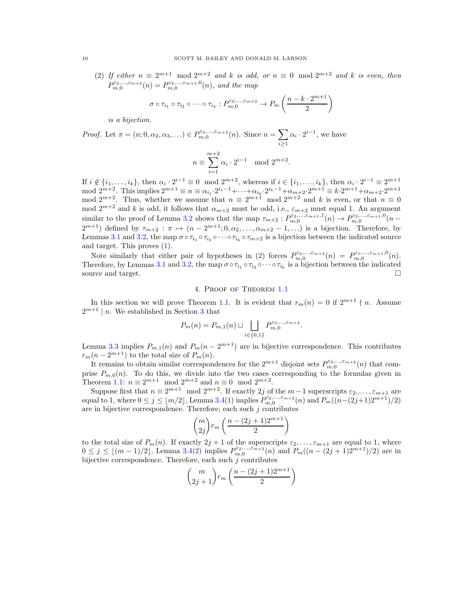(2) If either  $n \equiv 2^{m+1} \mod 2^{m+2}$  and k is odd, or  $n \equiv 0 \mod 2^{m+2}$  and k is even, then  $P_{m,0}^{\varepsilon_2,\ldots,\varepsilon_{m+2}}(n) = P_{m,0}^{\varepsilon_2,\ldots,\varepsilon_{m+1},0}(n)$ , and the map

$$
\sigma \circ \tau_{i_1} \circ \tau_{i_2} \circ \cdots \circ \tau_{i_k} : P_{m,0}^{\varepsilon_2,\ldots,\varepsilon_{m+2}} \to P_m\left(\frac{n-k \cdot 2^{m+1}}{2}\right)
$$

is a bijection.

Proof. Let  $\pi = (n; 0, \alpha_2, \alpha_3, ...) \in P_{m,0}^{\varepsilon_2, ..., \varepsilon_{m+2}}(n)$ . Since  $n = \sum$ i≥1  $\alpha_i \cdot 2^{i-1}$ , we have

$$
n \equiv \sum_{i=1}^{m+2} \alpha_i \cdot 2^{i-1} \mod 2^{m+2}.
$$

If  $i \notin \{i_1, \ldots, i_k\}$ , then  $\alpha_i \cdot 2^{i-1} \equiv 0 \mod 2^{m+2}$ , whereas if  $i \in \{i_1, \ldots, i_k\}$ , then  $\alpha_i \cdot 2^{i-1} \equiv 2^{m+1}$ mod  $2^{m+2}$ . This implies  $2^{m+1} \equiv n \equiv \alpha_{i_1} \cdot 2^{i_1-1} + \cdots + \alpha_{i_k} \cdot 2^{i_k-1} + \alpha_{m+2} \cdot 2^{m+1} \equiv k \cdot 2^{m+1} + \alpha_{m+2} \cdot 2^{m+1}$ mod  $2^{m+2}$ . Thus, whether we assume that  $n \equiv 2^{m+1} \mod 2^{m+2}$  and k is even, or that  $n \equiv 0$ mod  $2^{m+2}$  and k is odd, it follows that  $\alpha_{m+2}$  must be odd, i.e.,  $\varepsilon_{m+2}$  must equal 1. An argument similar to the proof of Lemma [3.2](#page-8-0) shows that the map  $\tau_{m+2}: P_{m,0}^{\varepsilon_2,\dots,\varepsilon_{m+1},1}(n) \to P_{m,0}^{\varepsilon_2,\dots,\varepsilon_{m+1},0}(n-1)$  $2^{m+1}$ ) defined by  $\tau_{m+2} : \pi \mapsto (n-2^{m+1}; 0, \alpha_2, \ldots, \alpha_{m+2}-1, \ldots)$  is a bijection. Therefore, by Lemmas [3.1](#page-8-1) and [3.2,](#page-8-0) the map  $\sigma \circ \tau_{i_1} \circ \tau_{i_2} \circ \cdots \circ \tau_{i_k} \circ \tau_{m+2}$  is a bijection between the indicated source and target. This proves [\(1\)](#page-8-2).

Note similarly that either pair of hypotheses in [\(2\)](#page-9-1) forces  $P_{m,0}^{\varepsilon_2,\dots,\varepsilon_{m+2}}(n) = P_{m,0}^{\varepsilon_1,\dots,\varepsilon_{m+1},0}(n)$ . Therefore, by Lemmas [3.1](#page-8-1) and [3.2,](#page-8-0) the map  $\sigma \circ \tau_{i_1} \circ \tau_{i_2} \circ \cdots \circ \tau_{i_k}$  is a bijection between the indicated source and target.  $\Box$ 

# 4. Proof of Theorem [1.1](#page-1-0)

<span id="page-9-0"></span>In this section we will prove Theorem [1.1.](#page-1-0) It is evident that  $r_m(n) = 0$  if  $2^{m+1} \nmid n$ . Assume  $2^{m+1}$  | *n*. We established in Section [3](#page-7-0) that

$$
P_m(n) = P_{m,1}(n) \sqcup \bigsqcup_{i \in \{0,1\}} P_{m,0}^{\varepsilon_2, \dots, \varepsilon_{m+2}}.
$$

Lemma [3.3](#page-8-3) implies  $P_{m,1}(n)$  and  $P_m(n-2^{m+1})$  are in bijective correspondence. This contributes  $r_m(n-2^{m+1})$  to the total size of  $P_m(n)$ .

It remains to obtain similar correspondences for the  $2^{m+1}$  disjoint sets  $P_{m,0}^{\varepsilon_2,\dots,\varepsilon_{m+2}}(n)$  that comprise  $P_{m,0}(n)$ . To do this, we divide into the two cases corresponding to the formulas given in Theorem [1.1:](#page-1-0)  $n \equiv 2^{m+1} \mod 2^{m+2}$  and  $n \equiv 0 \mod 2^{m+2}$ .

Suppose first that  $n \equiv 2^{m+1} \mod 2^{m+2}$ . If exactly 2j of the  $m-1$  superscripts  $\varepsilon_2, \ldots, \varepsilon_{m+1}$  are equal to 1, where  $0 \le j \le \lfloor m/2 \rfloor$ , Lemma [3.4\(](#page-8-4)[1\)](#page-8-2) implies  $P_{m,0}^{\varepsilon_2,...,\varepsilon_{m+2}}(n)$  and  $P_m((n-(2j+1)2^{m+1})/2)$ are in bijective correspondence. Therefore, each such  $j$  contributes

$$
\binom{m}{2j}r_m\left(\frac{n-(2j+1)2^{m+1}}{2}\right)
$$

to the total size of  $P_m(n)$ . If exactly  $2j + 1$  of the superscripts  $\varepsilon_2, \ldots, \varepsilon_{m+1}$  are equal to 1, where  $0 \leq j \leq \lfloor (m-1)/2 \rfloor$ , Lemma [3.4](#page-8-4)[\(2\)](#page-9-1) implies  $P_{m,0}^{\varepsilon_2,...,\varepsilon_{m+2}}(n)$  and  $P_m((n-(2j+1)2^{m+1})/2)$  are in bijective correspondence. Therefore, each such  $j$  contributes

$$
\binom{m}{2j+1}r_m\left(\frac{n-(2j+1)2^{m+1}}{2}\right)
$$

<span id="page-9-1"></span>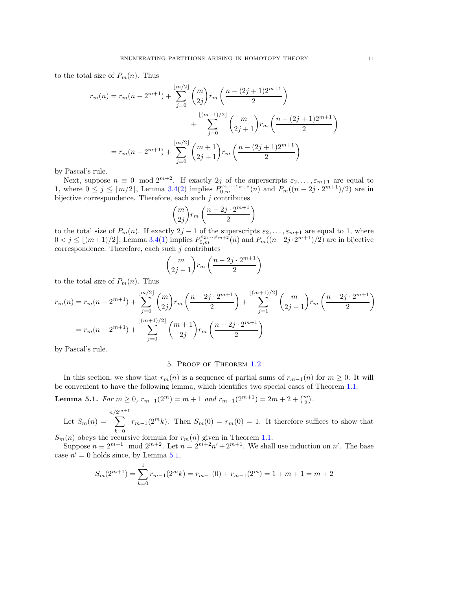to the total size of  $P_m(n)$ . Thus

$$
r_m(n) = r_m(n - 2^{m+1}) + \sum_{j=0}^{\lfloor m/2 \rfloor} \binom{m}{2j} r_m \left( \frac{n - (2j+1)2^{m+1}}{2} \right)
$$
  
+ 
$$
\sum_{j=0}^{\lfloor (m-1)/2 \rfloor} \binom{m}{2j+1} r_m \left( \frac{n - (2j+1)2^{m+1}}{2} \right)
$$
  
= 
$$
r_m(n - 2^{m+1}) + \sum_{j=0}^{\lfloor m/2 \rfloor} \binom{m+1}{2j+1} r_m \left( \frac{n - (2j+1)2^{m+1}}{2} \right)
$$

by Pascal's rule.

Next, suppose  $n \equiv 0 \mod 2^{m+2}$ . If exactly 2j of the superscripts  $\varepsilon_2, \ldots, \varepsilon_{m+1}$  are equal to 1, where  $0 \le j \le \lfloor m/2 \rfloor$ , Lemma [3.4](#page-8-4)[\(2\)](#page-9-1) implies  $P_{0,m}^{\varepsilon_2,...,\varepsilon_{m+2}}(n)$  and  $P_m((n-2j \cdot 2^{m+1})/2)$  are in bijective correspondence. Therefore, each such  $j$  contributes

$$
\binom{m}{2j}r_m\left(\frac{n-2j\cdot 2^{m+1}}{2}\right)
$$

to the total size of  $P_m(n)$ . If exactly  $2j-1$  of the superscripts  $\varepsilon_2, \ldots, \varepsilon_{m+1}$  are equal to 1, where  $0 < j \leq \lfloor (m+1)/2 \rfloor$  $0 < j \leq \lfloor (m+1)/2 \rfloor$  $0 < j \leq \lfloor (m+1)/2 \rfloor$ , Lemma [3.4\(](#page-8-4)1) implies  $P_{0,m}^{\varepsilon_2,...,\varepsilon_{m+2}}(n)$  and  $P_m((n-2j \cdot 2^{m+1})/2)$  are in bijective correspondence. Therefore, each such  $j$  contributes

$$
\binom{m}{2j-1}r_m\left(\frac{n-2j\cdot 2^{m+1}}{2}\right)
$$

to the total size of  $P_m(n)$ . Thus

$$
r_m(n) = r_m(n - 2^{m+1}) + \sum_{j=0}^{\lfloor m/2 \rfloor} \binom{m}{2j} r_m \left( \frac{n - 2j \cdot 2^{m+1}}{2} \right) + \sum_{j=1}^{\lfloor (m+1)/2 \rfloor} \binom{m}{2j-1} r_m \left( \frac{n - 2j \cdot 2^{m+1}}{2} \right)
$$
  
= 
$$
r_m(n - 2^{m+1}) + \sum_{j=0}^{\lfloor (m+1)/2 \rfloor} \binom{m+1}{2j} r_m \left( \frac{n - 2j \cdot 2^{m+1}}{2} \right)
$$

<span id="page-10-0"></span>by Pascal's rule.

# 5. Proof of Theorem [1.2](#page-1-3)

In this section, we show that  $r_m(n)$  is a sequence of partial sums of  $r_{m-1}(n)$  for  $m \geq 0$ . It will be convenient to have the following lemma, which identifies two special cases of Theorem [1.1.](#page-1-0)

<span id="page-10-1"></span>Lemma 5.1. For  $m \ge 0$ ,  $r_{m-1}(2^m) = m + 1$  and  $r_{m-1}(2^{m+1}) = 2m + 2 + {m \choose 2}$ .

Let 
$$
S_m(n) = \sum_{k=0}^{n/2^{m+1}} r_{m-1}(2^m k)
$$
. Then  $S_m(0) = r_m(0) = 1$ . It therefore suffices to show that

 $S_m(n)$  obeys the recursive formula for  $r_m(n)$  given in Theorem [1.1.](#page-1-0)

Suppose  $n \equiv 2^{m+1} \mod 2^{m+2}$ . Let  $n = 2^{m+2}n' + 2^{m+1}$ . We shall use induction on n'. The base case  $n' = 0$  holds since, by Lemma [5.1,](#page-10-1)

$$
S_m(2^{m+1}) = \sum_{k=0}^{n} r_{m-1}(2^m k) = r_{m-1}(0) + r_{m-1}(2^m) = 1 + m + 1 = m + 2
$$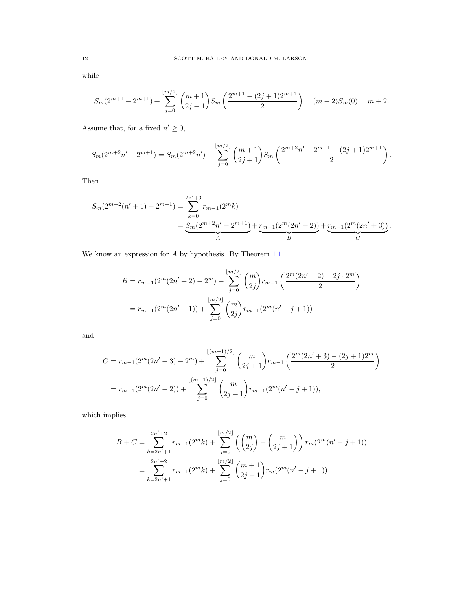while

$$
S_m(2^{m+1} - 2^{m+1}) + \sum_{j=0}^{\lfloor m/2 \rfloor} \binom{m+1}{2j+1} S_m\left(\frac{2^{m+1} - (2j+1)2^{m+1}}{2}\right) = (m+2)S_m(0) = m+2.
$$

Assume that, for a fixed  $n' \geq 0$ ,

$$
S_m(2^{m+2}n'+2^{m+1})=S_m(2^{m+2}n')+\sum_{j=0}^{\lfloor m/2 \rfloor} \binom{m+1}{2j+1}S_m\left(\frac{2^{m+2}n'+2^{m+1}-(2j+1)2^{m+1}}{2}\right).
$$

Then

$$
S_m(2^{m+2}(n'+1)+2^{m+1}) = \sum_{k=0}^{2n'+3} r_{m-1}(2^m k)
$$
  
= 
$$
\underbrace{S_m(2^{m+2}n'+2^{m+1})}_{A} + \underbrace{r_{m-1}(2^m(2n'+2))}_{B} + \underbrace{r_{m-1}(2^m(2n'+3))}_{C}.
$$

We know an expression for A by hypothesis. By Theorem [1.1,](#page-1-0)

$$
B = r_{m-1}(2^m(2n'+2) - 2^m) + \sum_{j=0}^{\lfloor m/2 \rfloor} {m \choose 2j} r_{m-1} \left( \frac{2^m(2n'+2) - 2j \cdot 2^m}{2} \right)
$$
  
= 
$$
r_{m-1}(2^m(2n'+1)) + \sum_{j=0}^{\lfloor m/2 \rfloor} {m \choose 2j} r_{m-1}(2^m(n'-j+1))
$$

and

$$
C = r_{m-1}(2^{m}(2n'+3) - 2^{m}) + \sum_{j=0}^{\lfloor (m-1)/2 \rfloor} {m \choose 2j+1} r_{m-1} \left( \frac{2^{m}(2n'+3) - (2j+1)2^{m}}{2} \right)
$$
  
= 
$$
r_{m-1}(2^{m}(2n'+2)) + \sum_{j=0}^{\lfloor (m-1)/2 \rfloor} {m \choose 2j+1} r_{m-1}(2^{m}(n'-j+1)),
$$

which implies

$$
B + C = \sum_{k=2n'+1}^{2n'+2} r_{m-1}(2^m k) + \sum_{j=0}^{\lfloor m/2 \rfloor} \left( \binom{m}{2j} + \binom{m}{2j+1} \right) r_m(2^m (n'-j+1))
$$
  
= 
$$
\sum_{k=2n'+1}^{2n'+2} r_{m-1}(2^m k) + \sum_{j=0}^{\lfloor m/2 \rfloor} \binom{m+1}{2j+1} r_m(2^m (n'-j+1)).
$$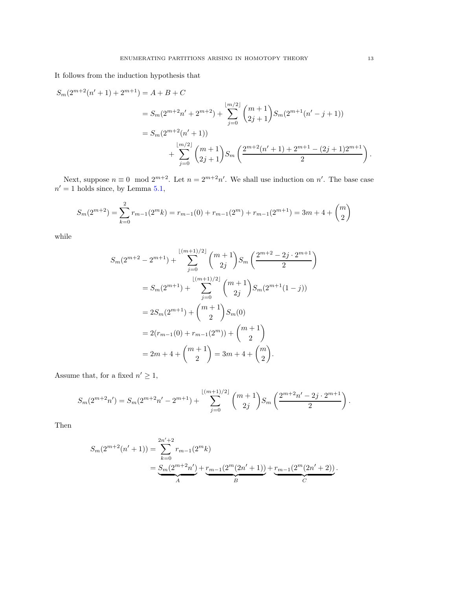It follows from the induction hypothesis that

$$
S_m(2^{m+2}(n'+1)+2^{m+1}) = A + B + C
$$
  
=  $S_m(2^{m+2}n'+2^{m+2}) + \sum_{j=0}^{\lfloor m/2 \rfloor} {m+1 \choose 2j+1} S_m(2^{m+1}(n'-j+1))$   
=  $S_m(2^{m+2}(n'+1)) + \sum_{j=0}^{\lfloor m/2 \rfloor} {m+1 \choose 2j+1} S_m\left(\frac{2^{m+2}(n'+1)+2^{m+1}-(2j+1)2^{m+1}}{2}\right).$ 

Next, suppose  $n \equiv 0 \mod 2^{m+2}$ . Let  $n = 2^{m+2}n'$ . We shall use induction on n'. The base case  $n' = 1$  holds since, by Lemma [5.1,](#page-10-1)

$$
S_m(2^{m+2}) = \sum_{k=0}^{2} r_{m-1}(2^m k) = r_{m-1}(0) + r_{m-1}(2^m) + r_{m-1}(2^{m+1}) = 3m + 4 + \binom{m}{2}
$$

while

$$
S_m(2^{m+2} - 2^{m+1}) + \sum_{j=0}^{\lfloor (m+1)/2 \rfloor} {m+1 \choose 2j} S_m\left(\frac{2^{m+2} - 2j \cdot 2^{m+1}}{2}\right)
$$
  
=  $S_m(2^{m+1}) + \sum_{j=0}^{\lfloor (m+1)/2 \rfloor} {m+1 \choose 2j} S_m(2^{m+1}(1-j))$   
=  $2S_m(2^{m+1}) + {m+1 \choose 2} S_m(0)$   
=  $2(r_{m-1}(0) + r_{m-1}(2^m)) + {m+1 \choose 2}$   
=  $2m + 4 + {m+1 \choose 2} = 3m + 4 + {m \choose 2}.$ 

Assume that, for a fixed  $n' \geq 1$ ,

$$
S_m(2^{m+2}n') = S_m(2^{m+2}n' - 2^{m+1}) + \sum_{j=0}^{\lfloor (m+1)/2 \rfloor} {m+1 \choose 2j} S_m\left(\frac{2^{m+2}n' - 2j \cdot 2^{m+1}}{2}\right).
$$

Then

$$
S_m(2^{m+2}(n'+1)) = \sum_{k=0}^{2n'+2} r_{m-1}(2^m k)
$$
  
= 
$$
\underbrace{S_m(2^{m+2}n')}_{A} + \underbrace{r_{m-1}(2^m(2n'+1))}_{B} + \underbrace{r_{m-1}(2^m(2n'+2))}_{C}.
$$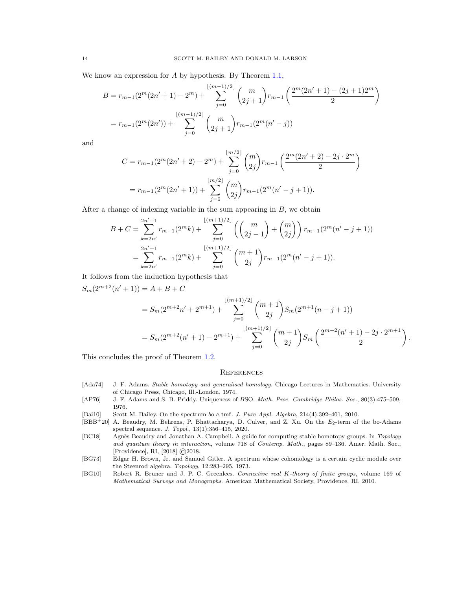We know an expression for A by hypothesis. By Theorem [1.1,](#page-1-0)

$$
B = r_{m-1}(2^{m}(2n'+1) - 2^{m}) + \sum_{j=0}^{\lfloor (m-1)/2 \rfloor} {m \choose 2j+1} r_{m-1} \left( \frac{2^{m}(2n'+1) - (2j+1)2^{m}}{2} \right)
$$
  
= 
$$
r_{m-1}(2^{m}(2n')) + \sum_{j=0}^{\lfloor (m-1)/2 \rfloor} {m \choose 2j+1} r_{m-1}(2^{m}(n'-j))
$$

and

$$
C = r_{m-1}(2^{m}(2n'+2) - 2^{m}) + \sum_{j=0}^{\lfloor m/2 \rfloor} {m \choose 2j} r_{m-1} \left( \frac{2^{m}(2n'+2) - 2j \cdot 2^{m}}{2} \right)
$$
  
= 
$$
r_{m-1}(2^{m}(2n'+1)) + \sum_{j=0}^{\lfloor m/2 \rfloor} {m \choose 2j} r_{m-1}(2^{m}(n'-j+1)).
$$

After a change of indexing variable in the sum appearing in  $B$ , we obtain

$$
B + C = \sum_{k=2n'}^{2n'+1} r_{m-1}(2^m k) + \sum_{j=0}^{\lfloor (m+1)/2 \rfloor} \left( {m \choose 2j-1} + {m \choose 2j} \right) r_{m-1}(2^m (n'-j+1))
$$
  
= 
$$
\sum_{k=2n'}^{2n'+1} r_{m-1}(2^m k) + \sum_{j=0}^{\lfloor (m+1)/2 \rfloor} {m+1 \choose 2j} r_{m-1}(2^m (n'-j+1)).
$$

It follows from the induction hypothesis that

$$
S_m(2^{m+2}(n'+1)) = A + B + C
$$
  
=  $S_m(2^{m+2}n' + 2^{m+1}) + \sum_{j=0}^{\lfloor (m+1)/2 \rfloor} \binom{m+1}{2j} S_m(2^{m+1}(n-j+1))$   
=  $S_m(2^{m+2}(n'+1) - 2^{m+1}) + \sum_{j=0}^{\lfloor (m+1)/2 \rfloor} \binom{m+1}{2j} S_m\left(\frac{2^{m+2}(n'+1) - 2j \cdot 2^{m+1}}{2}\right)$ 

.

This concludes the proof of Theorem [1.2.](#page-1-3)

## **REFERENCES**

- <span id="page-13-1"></span>[Ada74] J. F. Adams. Stable homotopy and generalised homology. Chicago Lectures in Mathematics. University of Chicago Press, Chicago, Ill.-London, 1974.
- <span id="page-13-4"></span>[AP76] J. F. Adams and S. B. Priddy. Uniqueness of BSO. Math. Proc. Cambridge Philos. Soc., 80(3):475–509, 1976.
- <span id="page-13-0"></span>[Bai10] Scott M. Bailey. On the spectrum bo ∧ tmf. J. Pure Appl. Algebra, 214(4):392–401, 2010.
- <span id="page-13-5"></span>[BBB+20] A. Beaudry, M. Behrens, P. Bhattacharya, D. Culver, and Z. Xu. On the  $E_2$ -term of the bo-Adams spectral sequence. J. Topol., 13(1):356–415, 2020.
- <span id="page-13-2"></span>[BC18] Agnès Beaudry and Jonathan A. Campbell. A guide for computing stable homotopy groups. In Topology and quantum theory in interaction, volume 718 of Contemp. Math., pages 89–136. Amer. Math. Soc., [Providence], RI, [2018] ©2018.
- <span id="page-13-6"></span>[BG73] Edgar H. Brown, Jr. and Samuel Gitler. A spectrum whose cohomology is a certain cyclic module over the Steenrod algebra. Topology, 12:283–295, 1973.
- <span id="page-13-3"></span>[BG10] Robert R. Bruner and J. P. C. Greenlees. Connective real K-theory of finite groups, volume 169 of Mathematical Surveys and Monographs. American Mathematical Society, Providence, RI, 2010.